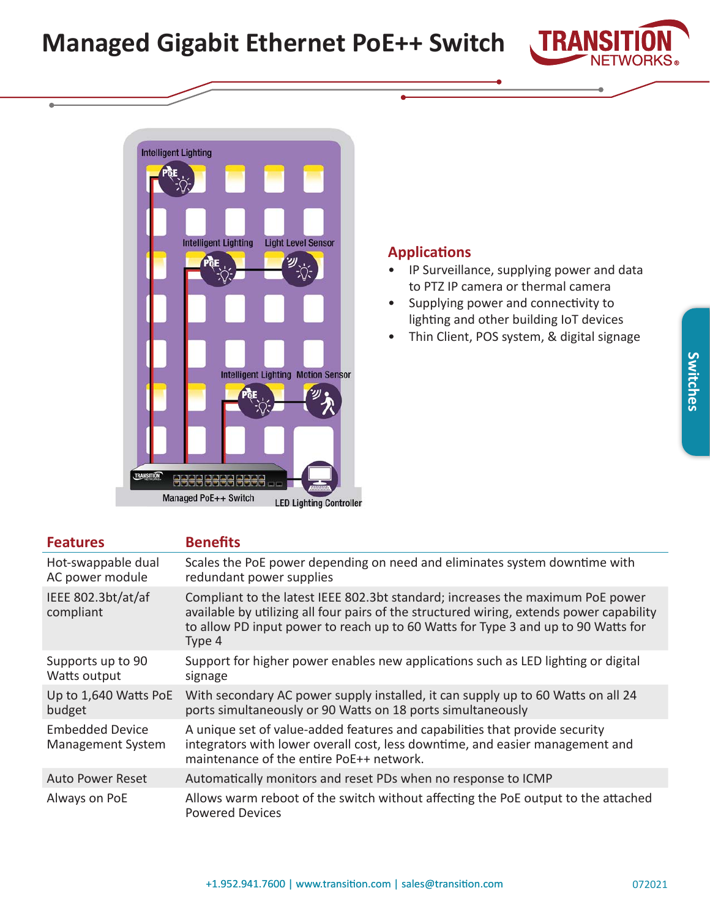**Managed Gigabit Ethernet PoE++ Switch**





## **Applications**

- IP Surveillance, supplying power and data to PTZ IP camera or thermal camera
- Supplying power and connectivity to lighting and other building IoT devices
- Thin Client, POS system, & digital signage

| <b>Features</b>                             | <b>Benefits</b>                                                                                                                                                                                                                                                           |  |
|---------------------------------------------|---------------------------------------------------------------------------------------------------------------------------------------------------------------------------------------------------------------------------------------------------------------------------|--|
| Hot-swappable dual<br>AC power module       | Scales the PoE power depending on need and eliminates system downtime with<br>redundant power supplies                                                                                                                                                                    |  |
| IEEE 802.3bt/at/af<br>compliant             | Compliant to the latest IEEE 802.3bt standard; increases the maximum PoE power<br>available by utilizing all four pairs of the structured wiring, extends power capability<br>to allow PD input power to reach up to 60 Watts for Type 3 and up to 90 Watts for<br>Type 4 |  |
| Supports up to 90<br>Watts output           | Support for higher power enables new applications such as LED lighting or digital<br>signage                                                                                                                                                                              |  |
| Up to 1,640 Watts PoE<br>budget             | With secondary AC power supply installed, it can supply up to 60 Watts on all 24<br>ports simultaneously or 90 Watts on 18 ports simultaneously                                                                                                                           |  |
| <b>Embedded Device</b><br>Management System | A unique set of value-added features and capabilities that provide security<br>integrators with lower overall cost, less downtime, and easier management and<br>maintenance of the entire PoE++ network.                                                                  |  |
| <b>Auto Power Reset</b>                     | Automatically monitors and reset PDs when no response to ICMP                                                                                                                                                                                                             |  |
| Always on PoE                               | Allows warm reboot of the switch without affecting the PoE output to the attached<br><b>Powered Devices</b>                                                                                                                                                               |  |